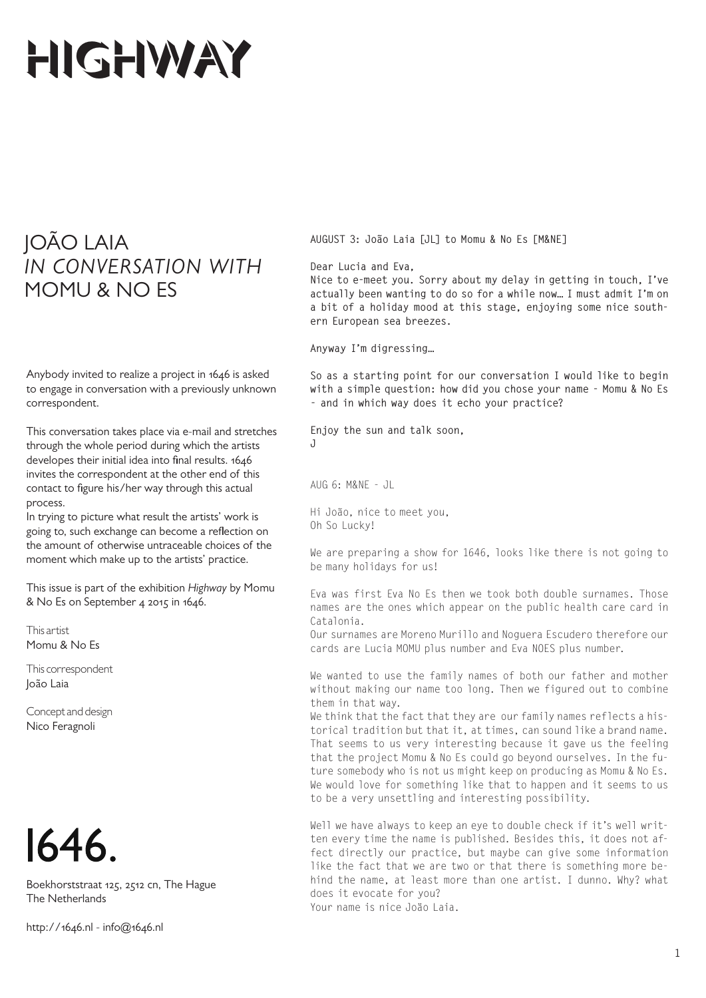## HIGHWAY

## JOÃO LAIA *IN CONVERSATION WITH* MOMU & NO ES

Anybody invited to realize a project in 1646 is asked to engage in conversation with a previously unknown correspondent.

This conversation takes place via e-mail and stretches through the whole period during which the artists developes their initial idea into final results. 1646 invites the correspondent at the other end of this contact to figure his/her way through this actual process.

In trying to picture what result the artists' work is going to, such exchange can become a reflection on the amount of otherwise untraceable choices of the moment which make up to the artists' practice.

This issue is part of the exhibition *Highway* by Momu & No Es on September 4 2015 in 1646.

This artist Momu & No Es

This correspondent João Laia

Concept and design Nico Feragnoli



Boekhorststraat 125, 2512 cn, The Hague The Netherlands

http://1646.nl - info@1646.nl

**AUGUST 3: João Laia [JL] to Momu & No Es [M&NE]**

**Dear Lucia and Eva,**

**Nice to e-meet you. Sorry about my delay in getting in touch, I've actually been wanting to do so for a while now… I must admit I'm on a bit of a holiday mood at this stage, enjoying some nice southern European sea breezes.** 

**Anyway I'm digressing…** 

**So as a starting point for our conversation I would like to begin with a simple question: how did you chose your name - Momu & No Es - and in which way does it echo your practice?** 

**Enjoy the sun and talk soon, J**

AUG 6: M&NE - JL

Hi João, nice to meet you, Oh So Lucky!

We are preparing a show for 1646, looks like there is not going to be many holidays for us!

Eva was first Eva No Es then we took both double surnames. Those names are the ones which appear on the public health care card in Catalonia.

Our surnames are Moreno Murillo and Noguera Escudero therefore our cards are Lucia MOMU plus number and Eva NOES plus number.

We wanted to use the family names of both our father and mother without making our name too long. Then we figured out to combine them in that way.

We think that the fact that they are our family names reflects a historical tradition but that it, at times, can sound like a brand name. That seems to us very interesting because it gave us the feeling that the project Momu & No Es could go beyond ourselves. In the future somebody who is not us might keep on producing as Momu & No Es. We would love for something like that to happen and it seems to us to be a very unsettling and interesting possibility.

Well we have always to keep an eye to double check if it's well written every time the name is published. Besides this, it does not affect directly our practice, but maybe can give some information like the fact that we are two or that there is something more behind the name, at least more than one artist. I dunno. Why? what does it evocate for you?

Your name is nice Joäo Laia.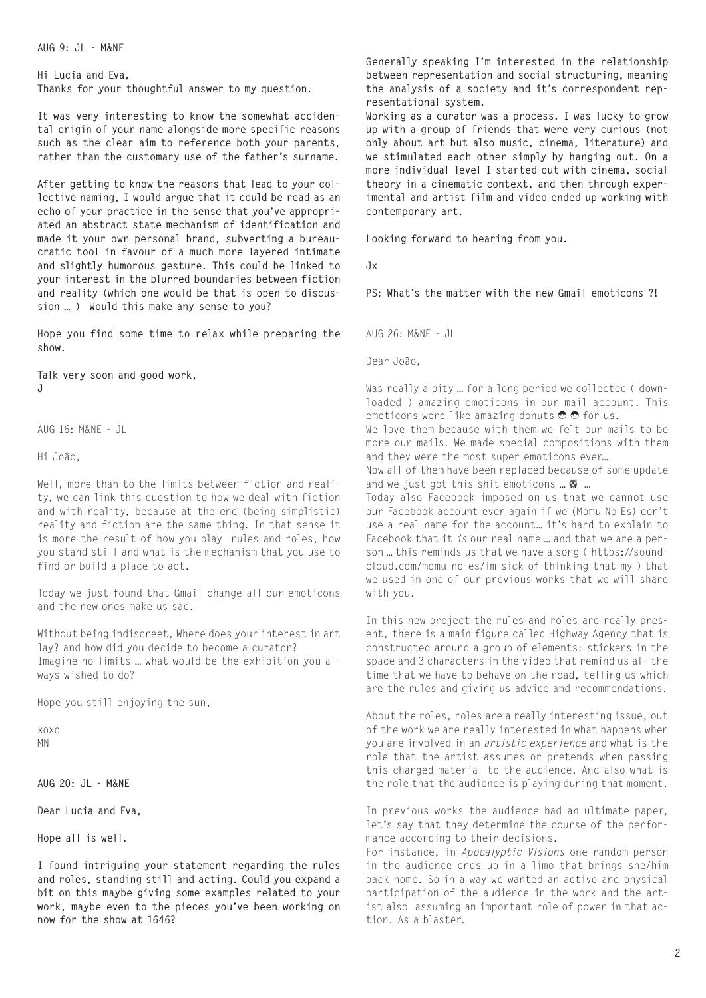**AUG 9: JL - M&NE**

**Hi Lucia and Eva, Thanks for your thoughtful answer to my question.** 

**It was very interesting to know the somewhat accidental origin of your name alongside more specific reasons such as the clear aim to reference both your parents, rather than the customary use of the father's surname.** 

**After getting to know the reasons that lead to your collective naming, I would argue that it could be read as an echo of your practice in the sense that you've appropriated an abstract state mechanism of identification and made it your own personal brand, subverting a bureaucratic tool in favour of a much more layered intimate and slightly humorous gesture. This could be linked to your interest in the blurred boundaries between fiction and reality (which one would be that is open to discussion … ) Would this make any sense to you?**

**Hope you find some time to relax while preparing the show.**

**Talk very soon and good work, J**

AUG 16: M&NE - JL

Hi João,

Well, more than to the limits between fiction and reality, we can link this question to how we deal with fiction and with reality, because at the end (being simplistic) reality and fiction are the same thing. In that sense it is more the result of how you play rules and roles, how you stand still and what is the mechanism that you use to find or build a place to act.

Today we just found that Gmail change all our emoticons and the new ones make us sad.

Without being indiscreet, Where does your interest in art lay? and how did you decide to become a curator? Imagine no limits … what would be the exhibition you always wished to do?

Hope you still enjoying the sun,

xoxo MN

**AUG 20: JL - M&NE**

**Dear Lucia and Eva,**

**Hope all is well.** 

**I found intriguing your statement regarding the rules and roles, standing still and acting. Could you expand a bit on this maybe giving some examples related to your work, maybe even to the pieces you've been working on now for the show at 1646?**

**Generally speaking I'm interested in the relationship between representation and social structuring, meaning the analysis of a society and it's correspondent representational system.**

**Working as a curator was a process. I was lucky to grow up with a group of friends that were very curious (not only about art but also music, cinema, literature) and we stimulated each other simply by hanging out. On a more individual level I started out with cinema, social theory in a cinematic context, and then through experimental and artist film and video ended up working with contemporary art.**

**Looking forward to hearing from you.**

**Jx**

**PS: What's the matter with the new Gmail emoticons ?!**

AUG 26: M&NE - JL

Dear João,

Was really a pity … for a long period we collected ( downloaded ) amazing emoticons in our mail account. This emoticons were like amazing donuts  $\Theta$   $\Theta$  for us. We love them because with them we felt our mails to be more our mails. We made special compositions with them and they were the most super emoticons ever… Now all of them have been replaced because of some update

and we just got this shit emoticons ...  $\bullet$  ...

Today also Facebook imposed on us that we cannot use our Facebook account ever again if we (Momu No Es) don't use a real name for the account… it's hard to explain to Facebook that it *is* our real name … and that we are a person … this reminds us that we have a song ( https://soundcloud.com/momu-no-es/im-sick-of-thinking-that-my ) that we used in one of our previous works that we will share with you.

In this new project the rules and roles are really present, there is a main figure called Highway Agency that is constructed around a group of elements: stickers in the space and 3 characters in the video that remind us all the time that we have to behave on the road, telling us which are the rules and giving us advice and recommendations.

About the roles, roles are a really interesting issue, out of the work we are really interested in what happens when you are involved in an *artistic experience* and what is the role that the artist assumes or pretends when passing this charged material to the audience. And also what is the role that the audience is playing during that moment.

In previous works the audience had an ultimate paper, let's say that they determine the course of the performance according to their decisions.

For instance, in *Apocalyptic Visions* one random person in the audience ends up in a limo that brings she/him back home. So in a way we wanted an active and physical participation of the audience in the work and the artist also assuming an important role of power in that action. As a blaster.